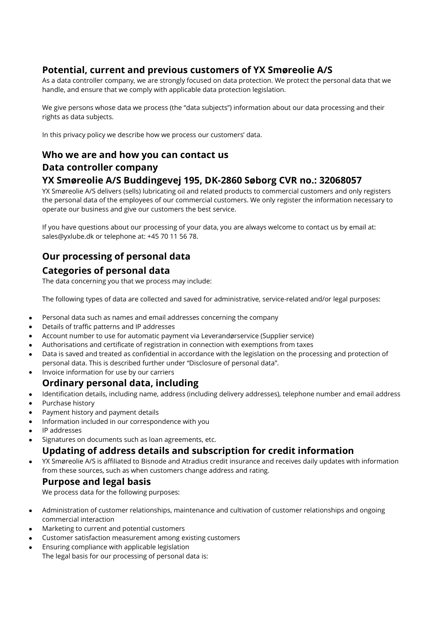### **Potential, current and previous customers of YX Smøreolie A/S**

As a data controller company, we are strongly focused on data protection. We protect the personal data that we handle, and ensure that we comply with applicable data protection legislation.

We give persons whose data we process (the "data subjects") information about our data processing and their rights as data subjects.

In this privacy policy we describe how we process our customers' data.

### **Who we are and how you can contact us Data controller company**

### **YX Smøreolie A/S Buddingevej 195, DK-2860 Søborg CVR no.: 32068057**

YX Smøreolie A/S delivers (sells) lubricating oil and related products to commercial customers and only registers the personal data of the employees of our commercial customers. We only register the information necessary to operate our business and give our customers the best service.

If you have questions about our processing of your data, you are always welcome to contact us by email at: sales@yxlube.dk or telephone at: +45 70 11 56 78.

# **Our processing of personal data**

### **Categories of personal data**

The data concerning you that we process may include:

The following types of data are collected and saved for administrative, service-related and/or legal purposes:

- Personal data such as names and email addresses concerning the company
- Details of traffic patterns and IP addresses
- Account number to use for automatic payment via Leverandørservice (Supplier service)
- Authorisations and certificate of registration in connection with exemptions from taxes
- Data is saved and treated as confidential in accordance with the legislation on the processing and protection of personal data. This is described further under "Disclosure of personal data".
- Invoice information for use by our carriers

### **Ordinary personal data, including**

- Identification details, including name, address (including delivery addresses), telephone number and email address
- Purchase history
- Payment history and payment details
- Information included in our correspondence with you
- IP addresses
- Signatures on documents such as loan agreements, etc.

## **Updating of address details and subscription for credit information**

• YX Smøreolie A/S is affiliated to Bisnode and Atradius credit insurance and receives daily updates with information from these sources, such as when customers change address and rating.

### **Purpose and legal basis**

We process data for the following purposes:

- Administration of customer relationships, maintenance and cultivation of customer relationships and ongoing commercial interaction
- Marketing to current and potential customers
- Customer satisfaction measurement among existing customers
- Ensuring compliance with applicable legislation
- The legal basis for our processing of personal data is: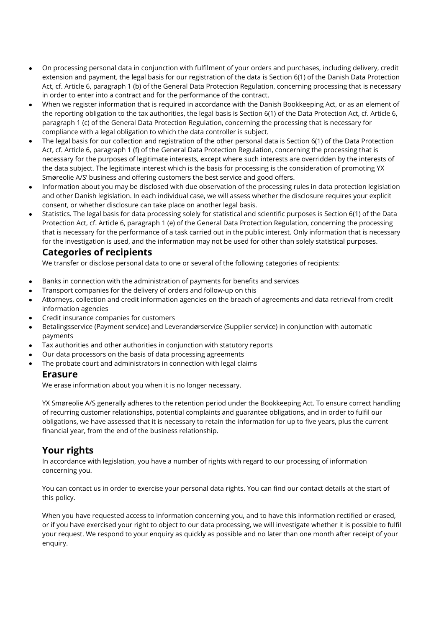- On processing personal data in conjunction with fulfilment of your orders and purchases, including delivery, credit extension and payment, the legal basis for our registration of the data is Section 6(1) of the Danish Data Protection Act, cf. Article 6, paragraph 1 (b) of the General Data Protection Regulation, concerning processing that is necessary in order to enter into a contract and for the performance of the contract.
- When we register information that is required in accordance with the Danish Bookkeeping Act, or as an element of the reporting obligation to the tax authorities, the legal basis is Section 6(1) of the Data Protection Act, cf. Article 6, paragraph 1 (c) of the General Data Protection Regulation, concerning the processing that is necessary for compliance with a legal obligation to which the data controller is subject.
- The legal basis for our collection and registration of the other personal data is Section 6(1) of the Data Protection Act, cf. Article 6, paragraph 1 (f) of the General Data Protection Regulation, concerning the processing that is necessary for the purposes of legitimate interests, except where such interests are overridden by the interests of the data subject. The legitimate interest which is the basis for processing is the consideration of promoting YX Smøreolie A/S' business and offering customers the best service and good offers.
- Information about you may be disclosed with due observation of the processing rules in data protection legislation and other Danish legislation. In each individual case, we will assess whether the disclosure requires your explicit consent, or whether disclosure can take place on another legal basis.
- Statistics. The legal basis for data processing solely for statistical and scientific purposes is Section 6(1) of the Data Protection Act, cf. Article 6, paragraph 1 (e) of the General Data Protection Regulation, concerning the processing that is necessary for the performance of a task carried out in the public interest. Only information that is necessary for the investigation is used, and the information may not be used for other than solely statistical purposes.

### **Categories of recipients**

We transfer or disclose personal data to one or several of the following categories of recipients:

- Banks in connection with the administration of payments for benefits and services
- Transport companies for the delivery of orders and follow-up on this
- Attorneys, collection and credit information agencies on the breach of agreements and data retrieval from credit information agencies
- Credit insurance companies for customers
- Betalingsservice (Payment service) and Leverandørservice (Supplier service) in conjunction with automatic payments
- Tax authorities and other authorities in conjunction with statutory reports
- Our data processors on the basis of data processing agreements
- The probate court and administrators in connection with legal claims

#### **Erasure**

We erase information about you when it is no longer necessary.

YX Smøreolie A/S generally adheres to the retention period under the Bookkeeping Act. To ensure correct handling of recurring customer relationships, potential complaints and guarantee obligations, and in order to fulfil our obligations, we have assessed that it is necessary to retain the information for up to five years, plus the current financial year, from the end of the business relationship.

### **Your rights**

In accordance with legislation, you have a number of rights with regard to our processing of information concerning you.

You can contact us in order to exercise your personal data rights. You can find our contact details at the start of this policy.

When you have requested access to information concerning you, and to have this information rectified or erased, or if you have exercised your right to object to our data processing, we will investigate whether it is possible to fulfil your request. We respond to your enquiry as quickly as possible and no later than one month after receipt of your enquiry.